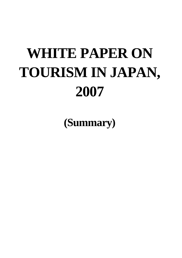# **WHITE PAPER ON TOURISM IN JAPAN, 2007**

**(Summary)**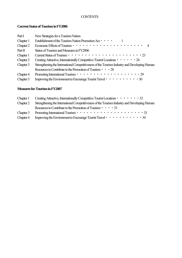# **CONTENTS**

# **Current Status of Tourism in FY2006**

| Part I    | New Strategies for a Tourism Nation                                                          |
|-----------|----------------------------------------------------------------------------------------------|
| Chapter 1 | Establishment of the Tourism Nation Promotion Act • • • • 1                                  |
| Chapter 2 |                                                                                              |
| Part II   | Status of Tourism and Measures in FY2006                                                     |
| Chapter 1 |                                                                                              |
| Chapter 2 | Creating Attractive, Internationally Competitive Tourist Locations • • • • • • 24            |
| Chapter 3 | Strengthening the International Competitiveness of the Tourism Industry and Developing Human |
|           | Resources to Contribute to the Promotion of Tourism • • 28                                   |
| Chapter 4 | Promoting International Tourism •••••••••••••••••••••                                        |
| Chapter 5 | Improving the Environment to Encourage Tourist Travel · · · · · · · · · · 30                 |

## **Measures for Tourism in FY2007**

| Chapter 1 | Creating Attractive, Internationally Competitive Tourist Locations • • • • • • • 32                                                |
|-----------|------------------------------------------------------------------------------------------------------------------------------------|
| Chapter 2 | Strengthening the International Competitiveness of the Tourism Industry and Developing Human                                       |
|           | Resources to Contribute to the Promotion of Tourism $\cdot \cdot \cdot \cdot$ 33                                                   |
| Chapter 3 |                                                                                                                                    |
| Chapter 4 | Improving the Environment to Encourage Tourist Travel $\cdot \cdot \cdot \cdot \cdot \cdot \cdot \cdot \cdot \cdot \cdot \cdot 34$ |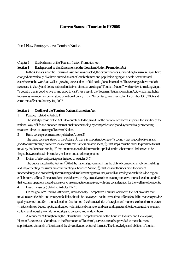# **Current Status of Tourism in FY2006**

## Part I New Strategies for a Tourism Nation

#### Chapter 1 Establishment of the Tourism Nation Promotion Act

## **Section 1 Background to the Enactment of the Tourism Nation Promotion Act**

In the 43 years since the Tourism Basic Act was enacted, the circumstances surrounding tourism in Japan have changed dramatically. We have entered an era of low birth rates and population aging on a scale not witnessed elsewhere in the world, as well as growing expectations of full-scale global interaction. These changes have made it necessary to clarify and define national initiatives aimed at creating a "Tourism Nation", with a view to making Japan "a country that is good to live in and good to visit". As a result, the Tourism Nation Promotion Act, which highlights tourism as an important cornerstone of national policy in the 21st century, was enacted on December 13th, 2006 and came into effect on January 1st, 2007.

#### **Section 2 Outline of the Tourism Nation Promotion Act**

1 Purpose (related to Article 1)

The stated purpose of the Act is to contribute to the growth of the national economy, improve the stability of the national way of life and enhance international understanding by comprehensively and systematically promoting measures aimed at creating a Tourism Nation.

2 Basic concepts of measures (related to Article 2)

The basic concepts stated in the Act are ① that it is important to create "a country that is good to live in and good to visit" through proactive local efforts that harness creative ideas, ② that steps must be taken to promote tourist travel by the Japanese public, ③ that an international vision must be applied, and ④ that mutual links need to be forged between the administration, residents and tourism operators.

3 Duties of relevant participants (related to Articles 3-6)

The duties stated in the Act are ① that the national government has the duty of comprehensively formulating and implementing measures aimed at creating a Tourism Nation, ② that local authorities have the duty of independently and proactively formulating and implementing measures, as well as striving to establish wide-region collaborative efforts, ③ that residents should strive to play an active role in creating attractive tourist locations, and ④ that tourism operators should endeavor to take proactive initiatives, with due consideration for the welfare of residents. 4 Basic measures (related to Articles 12-25)

On the goal of "Creating Attractive, Internationally Competitive Tourist Locations", the Act provides that travel-related facilities and transport facilities should be developed. At the same time, efforts should be made to provide quality services and form tourist locations that harness the characteristics of a region and make use of tourism resources – historical sites, beauty spots, landscapes with historical character and outstanding natural features, attractive scenery, culture, and industry – while taking steps to preserve and nurture them.

As concerns "Strengthening the International Competitiveness of the Tourism Industry and Developing Human Resources to Contribute to the Promotion of Tourism", services are to be provided to meet the more sophisticated demands of tourists and the diversification of travel formats. The knowledge and abilities of tourism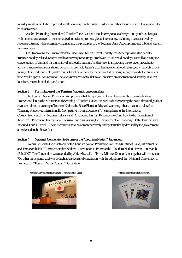industry workers are to be improved, and knowledge on the culture, history and other features unique to a region is to be disseminated.

As for "Promoting International Tourism", the Act states that interregional exchanges and youth exchanges with other countries need to be encouraged in order to promote global interchange, including overseas travel by Japanese citizens, while essentially maintaining the principles of the Tourism Basic Act on promoting inbound tourism from overseas.

On "Improving the Environment to Encourage Tourist Travel", finally, the Act emphasizes the need to improve holiday-related systems and in other ways encourage employees to take paid holidays, as well as easing the concentration of demand for tourist travel in specific seasons. With a view to improving the services provided to travelers, meanwhile, steps should be taken to promote Japan's excellent traditional food culture, other aspects of our living culture, industries, etc., make tourist travel easier for elderly or disabled persons, foreigners and other travelers who require special consideration, develop new areas of tourist travel, preserve environments and scenery in tourist locations, maintain statistics, and so on.

#### **Section 3 Formulation of the Tourism Nation Promotion Plan**

The Tourism Nation Promotion Act provides that the government shall formulate the Tourism Nation Promotion Plan, as the Master Plan for creating a Tourism Nation. As well as incorporating the basic aims and goals of measures aimed at creating a Tourism Nation, the Basic Plan should specify, among others, measures related to "Creating Attractive, Internationally Competitive Tourist Locations", "Strengthening the International Competitiveness of the Tourism Industry and Developing Human Resources to Contribute to the Promotion of Tourism", "Promoting International Tourism" and "Improving the Environment to Encourage Both Domestic and Inbound Tourist Travel". These measures are to be comprehensively and systematically devised by the government, as indicated in the Basic Act.

#### **Section 4 National Convention to Promote the "Tourism Nation" Japan, etc.**

To commemorate the enactment of the Tourism Nation Promotion Act, the Ministry of Land, Infrastructure and Transport held a "Commemorative National Convention to Promote the "Tourism Nation" Japan" on March 13th, 2007. The Convention was attended by Akie Abe, wife of Prime Minister Shinzo Abe, together with more than 700 other participants, and was brought to a successful conclusion with the adoption of the "National Convention to Promote the "Tourism Nation" Japan" Declaration.

National Convention to promote the "Tourism Nation" Japan Tourism Nation promotion pamphlets



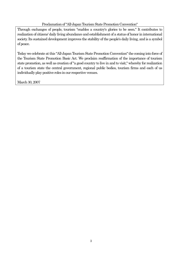# Proclamation of "All-Japan Tourism State Promotion Convention"

Through exchanges of people, tourism "enables a country's glories to be seen." It contributes to realization of citizens' daily living abundance and establishment of a status of honor in international society. Its sustained development improves the stability of the people's daily living, and is a symbol of peace.

Today we celebrate at this "All-Japan Tourism State Promotion Convention" the coming into force of the Tourism State Promotion Basic Act. We proclaim reaffirmation of the importance of tourism state promotion, as well as creation of "a good country to live in and to visit," whereby for realization of a tourism state the central government, regional public bodies, tourism firms and each of us individually play positive roles in our respective venues.

March 30, 2007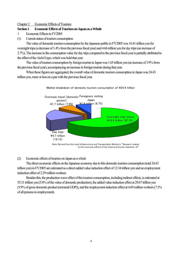#### Chapter 2 Economic Effects of Tourism

# **Section 1 Economic Effects of Tourism on Japan as a Whole**

- 1 Economic Effects in FY2005
- (1) Current status of tourism consumption

The value of domestic tourism consumption by the Japanese public in FY2005 was 16.41 trillion yen for overnight trips (a decrease of 1.4% from the previous fiscal year) and 4.66 trillion yen for day trips (an increase of 2.7%). The increase in the consumption value for day trips compared to the previous fiscal year is partially attributed to the effect of the Aichi Expo, which was held that year.

The value of tourism consumption by foreign tourists in Japan was 1.65 trillion yen (an increase of 3.9% from the previous fiscal year), accompanying an increase in foreign tourists during that year.

When these figures are aggregated, the overall value of domestic tourism consumption in Japan was 24.43 trillion yen, more or less on a par with the previous fiscal year.





#### (2) Economic effects of tourism on Japan as a whole

The direct economic effects on the Japanese economy due to this domestic tourism consumption (total 24.43 trillion yen) in FY2005 are estimated as a direct added value induction effect of 12.34 trillion yen and an employment induction effect of 2.29 million workers.

Besides this, the production wave effect of this tourism consumption, including indirect effects, is estimated at 55.31 trillion yen (5.8% of the value of domestic production), the added value induction effect at 29.67 trillion yen (5.9% of gross domestic product (nominal GDP)), and the employment induction effect at 4.69 million workers (7.3% of all persons in employment).

Note: Derived from the Land, Infrastructure and Transportation Ministry's "Research related to the economic effects of the travel and tourism industries, VI"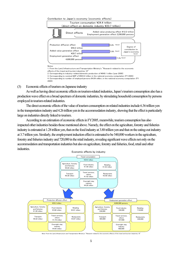

3. Corresponding to nominal GDP of ¥503.4 trillion in the national economy computation (FY 2005)

4. Corresponding to number of employed persons 64.04 million, in the national economy computation (FY 2005)

(3) Economic effects of tourism on Japanese industry

As well as having direct economic effects on tourism-related industries, Japan's tourism consumption also has a production wave effect on a broad spectrum of domestic industries, by stimulating household consumption by persons employed in tourism-related industries.

The direct economic effects of the value of tourism consumption on related industries include 6.36 trillion yen in the transportation industry and 4.26 trillion yen in the accommodation industry, showing that the effect is particularly large on industries directly linked to tourism.

According to an estimation of economic effects in FY2005, meanwhile, tourism consumption has also impacted other industries besides those mentioned above. Namely, the effect on the agriculture, forestry and fisheries industry is estimated at 1.28 trillion yen, that on the food industry at 3.88 trillion yen and that on the eating-out industry at 3.7 trillion yen. Similarly, the employment induction effect is estimated to be 540,000 workers in the agriculture, forestry and fisheries industry and 720,000 in the retail industry, revealing significant wave effects not only on the accommodation and transportation industries but also on agriculture, forestry and fisheries, food, retail and other **industries** 



Note: From the Land, Infrastructure and Transportation Ministry's "Research related to the economic effects of the travel and tourism industries, VI"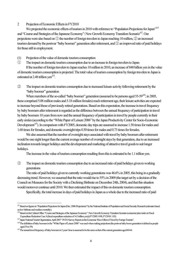#### 2 Projection of Economic Effects in FY2010

We projected the economic effects of tourism in 2010 with reference to "Population Projections for Japan"<sup>> \*\*</sup> and "Course and Strategies of the Japanese Economy": New Growth Economy Transition Scenario<sup>※2</sup>. Our projections were also based on ① the number of foreign travelers to Japan reaching 10 million, ② an increased tourism demand by the postwar "baby boomer" generation after retirement, and ③ an improved ratio of paid holidays for those still in employment.

(1) Projection of the value of domestic tourism consumption

① The impact on domestic tourism consumption due to an increase in foreign travelers to Japan

If the number of foreign travelers to Japan reaches 10 million in 2010, an increase of 840 billion yen in the value of domestic tourism consumption is projected. The total value of tourism consumption by foreign travelers to Japan is estimated at 2.48 trillion yen<sup>\*3</sup>.

② The impact on domestic tourism consumption due to increased leisure activity following retirement by the "baby boomer" generation

When members of the so-called "baby boomer" generation (assumed to be persons aged 55-59<sup>384</sup>; in 2005, these comprised 5.08 million males and 5.18 million females) reach retirement age, their leisure activities are expected to increase beyond those of previously retired generations. Based on this expectation, the increase in travel frequency by baby boomers after retirement is regarded as the difference between the annual frequency of participation in travel by baby boomers 10 years from now and the annual frequency of participation in travel by people currently in their early sixties (according to the "White Paper of Leisure 2006" by the Japan Productivity Center for Socio-Economic Development<sup>※5</sup>). In comparison with FY2005, domestic day trips are assumed to increase 1.58 times for males and 1.68 times for females, and domestic overnight trips 0.50 times for males and 0.73 times for females.

We also assumed that the number of overnight stays associated with travel by baby boomers after retirement would be one night longer than the current average number of overnight stays by that generation, due to an increased inclination towards longer holidays and the development and marketing of attractive travel goods to suit longer holidays.

The increase in the value of tourism consumption resulting from this is estimated to be 1.1 trillion yen.

③ The impact on domestic tourism consumption due to an increased ratio of paid holidays given to working generations

The ratio of paid holidays given to currently working generations was 46.6% in 2005, this being in a gradually decreasing trend. However, we assumed that the ratio would rise to 55% in 2009 (the target set by a decision of the Council on Measures for the Society with a Declining Birthrate on December 24th, 2004), and that this situation would moreover continue until 2010. We then estimated the impact of this on domestic tourism consumption.

Specifically, the total increase in days of paid holidays in Japan as a whole due to the increased ratio of paid

l

<sup>※</sup>1 Based on figures in "Population Projections for Japan (Dec. 2006 Projections)" by the National Institute of Population and Social Security Research (estimates based on low birthrate and medium mortality).

<sup>※</sup>2 Based on the Cabinet Office "Course and Strategies of the Japanese Economy": New Growth Economy Transition Scenario (consumer price index in Fiscal Expenditure Reduction Case A (fiscal expenditure reduction of 14.3 trillion yen)) (FY2005: 0.98, FY2010: 1.03).

<sup>※</sup>3 Japan National Tourist Organization, April 2007 "JNTO Survey Report on the Economic Wave Effect of Travel by Foreign Tourists".

<sup>※</sup>4 The definition of baby boomers in the "White Paper of Leisure 2006" was used when making projections (the postwar baby boom generation is defined as people aged 55 to 59).

<sup>※</sup>5 The annual travel frequency of baby boomers in 5 years' time is assumed to be the same as that of the current generation aged 60-64.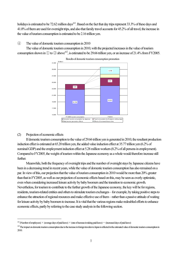holidays is estimated to be 72.62 million days<sup>※1</sup>. Based on the fact that day trips represent 33.3% of these days and 41.0% of them are used for overnight trips, and also that family travel accounts for 45.2% of all travel, the increase in the value of tourism consumption is estimated to be 2.16 trillion yen.

④ The value of domestic tourism consumption in 2010

The value of domestic tourism consumption in 2010, with the projected increases in the value of tourism consumption shown in  $\mathbb D$  to  $\Im$  above  $\H\stackrel{3}{\sim}$ , is estimated to be 29.66 trillion yen, or an increase of 21.4% from FY2005.



(2) Projection of economic effects

 $\overline{a}$ 

If domestic tourism consumption to the value of 29.66 trillion yen is generated in 2010, the resultant production induction effect is estimated at 65.20 trillion yen, the added value induction effect at 35.77 trillion yen (6.2% of nominal GDP) and the employment induction effect at 5.28 million workers (8.2% of all persons in employment). Compared to FY2005, the weight of tourism within the Japanese economy as a whole would therefore increase still further.

Meanwhile, both the frequency of overnight trips and the number of overnight stays by Japanese citizens have been in a decreasing trend in recent years, while the value of domestic tourism consumption has also remained on a par. In view of this, our projection that the value of tourism consumption in 2010 would be more than 20% greater than that in FY2005, as well as our projection of economic effects based on this, may be seen as overly optimistic, even when considering increased leisure activity by baby boomers and the transition to economic growth. Nevertheless, for tourism to contribute to the further growth of the Japanese economy, the key will be for regions, residents, tourism-related entities and others to stimulate tourism exchanges – for example, by taking positive steps to enhance the attraction of regional resources and make effective use of them – rather than a passive attitude of waiting for leisure activity by baby boomers to increase. It is vital that the various regions make redoubled efforts to enhance economic effects, partly by referring to the case study analysis in the following section.

 $^{261}$  (Number of employees)  $\times$  (average days of paid leave)  $\times$  (rate of increase in taking paid leave)  $=$  (increased days of paid leave)

<sup>※</sup>2 The impact on domestic tourism consumption due to the increase in foreign travelers to Japan is reflected in the estimated value of domestic tourism consumption in 2010.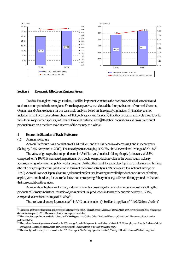

#### **Section 2 Economic Effects on Regional Areas**

To stimulate regions through tourism, it will be important to increase the economic effects due to increased tourism consumption in those regions. From this perspective, we selected the four prefectures of Aomori, Gumma, Okayama and Oita Prefecture for our case study analysis, based on three justifying factors: ① that they are not included in the three major urban spheres of Tokyo, Nagoya and Osaka, ② that they are either relatively close to or far from these major urban spheres, in terms of temporal distance, and ③ that their populations and gross prefectural production are on a medium scale in terms of the country as a whole.

#### **1 Economic Situation of Each Prefecture**

## (1) Aomori Prefecture

 $\overline{a}$ 

Aomori Prefecture has a population of 1.44 million, and this has been in a decreasing trend in recent years (falling by 2.6% compared to 2000). The rate of population aging is  $22.7\%$ , above the national average of  $20.1\%^{*1}$ .

The value of gross prefectural production is 4.3 trillion yen, but this is falling sharply (a decrease of 5.5% compared to FY1999). It is affected, in particular, by a decline in production value in the construction industry accompanying a downturn in public works projects. On the other hand, the prefecture's primary industries are thriving (the ratio of gross prefectural production in terms of economic activity is 4.8% compared to a national average of 1.6%). Aomori is one of Japan's leading agricultural prefectures, boasting unrivalled production volumes of onions, apples, yams and burdock, for example. It also has a prospering fishery industry, with rich fishing grounds in the seas that surround it on three sides.

Aomori also a high ratio of tertiary industries, mainly consisting of retail and wholesale industries selling the products of primary industries (the ratio of gross prefectural production in terms of economic activity is 77.1%, compared to a national average of  $71.8\%$ <sup>32</sup>.

The prefectural unemployment rate<sup>※3</sup> is  $6.0\%$  and the ratio of job offers to applicants<sup>※4</sup> is  $0.42$  times, both of

<sup>※</sup>1 Population and the rate of population aging are based on figures in the "2005 National Census", Ministry of Internal Affairs and Communications. Rates of increase or decrease are compared to 2000. The same applies to the other prefectures below.

<sup>※</sup>2 The value of gross prefectural production is based on FY2004 figures in the Cabinet Office "Prefectural Economy Calculations". The same applies to the other prefectures below.

<sup>※</sup>3 The prefectural unemployment rate is based on the 2006 average figure in "Manpower Survey Reference Materials: Full Unemployment Rates by Prefecture (Model Projections)", Ministry of Internal Affairs and Communications. The same applies to the other prefectures below.

<sup>※</sup>4 The ratio of job offers to applicants is based on the FY2005 average in "Job Stability Operation Statistics", Ministry of Health, Labour and Welfare, Long-Term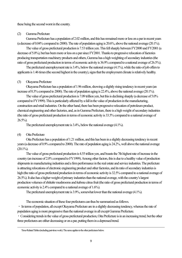these being the second worst in the country.

#### (2) Gumma Prefecture

Gumma Prefecture has a population of 2.02 million, and this has remained more or less on a par in recent years (a decrease of 0.04% compared to 2000). The rate of population aging is 20.6%, above the national average (20.1%).

The value of gross prefectural production is 7.53 trillion yen. This fell sharply between FY2000 and FY2001 (a decrease of 5.0%), but has been more or less on a par since FY2001. Thanks to progressive relocation of factories producing transportation machinery products and others, Gumma has a high weighting of secondary industries (the ratio of gross prefectural production in terms of economic activity is 36.9% compared to a national average of 26.5%)。

The prefectural unemployment rate is 3.4%, below the national average (4.1%), while the ratio of job offers to applicants is 1.46 times (the second highest in the country), signs that the employment climate is relatively healthy.

#### (3) Okayama Prefecture

Okayama Prefecture has a population of 1.96 million, showing a slightly rising tendency in recent years (an increase of 0.3% compared to 2000). The rate of population aging is 22.4%, above the national average (20.1%).

The value of gross prefectural production is 7.09 trillion yen, but this is declining sharply (a decrease of 5.0% compared to FY1999). This is particularly affected by a fall in the value of production in the manufacturing, construction and retail industries. On the other hand, there has been progressive relocation of petroleum product, chemical engineering and other factories, and, as in Gumma Prefecture, there is a high weight of secondary industries (the ratio of gross prefectural production in terms of economic activity is 33.5% compared to a national average of 26.5%).

The prefectural unemployment rate is 3.4%, below the national average (4.1%).

# (4) Oita Prefecture

 $\overline{a}$ 

Oita Prefecture has a population of 1.21 million, and this has been in a slightly decreasing tendency in recent years (a decrease of 0.9% compared to 2000). The rate of population aging is 24.2%, well above the national average  $(20.1\%)$ .

The value of gross prefectural production is 4.55 trillion yen, and boasts the 7th highest rate of increase in the country (an increase of 2.0% compared to FY1999). Among other factors, this is due to a healthy value of production shipments in manufacturing industries and a firm performance in the real estate and service industries. The prefecture is attracting relocations of electronic engineering product and other factories, and its ratio of secondary industries is high (the ratio of gross prefectural production in terms of economic activity is 32.5% compared to a national average of 26.5%). It also has a higher weight of primary industries than the national average, with the country's largest production volumes of *shiitake* mushrooms and *kabosu* citrus fruit (the ratio of gross prefectural production in terms of economic activity is 2.4% compared to a national average of 1.6%).

The prefectural unemployment rate is 3.9%, somewhat lower than the national average (4.1%).

The economic situation of these four prefectures can thus be summarized as follows.

・ In terms of population, all except Okayama Prefecture are in a slightly decreasing tendency, whereas the rate of population aging is more progressive than the national average in all except Gumma Prefecture.

・ Considering trends in the value of gross prefectural production, Oita Prefecture is in an increasing trend, but the other three prefectures are either decreasing or on a par, putting them in a depressed trend.

Time-Related Tables (including part-time work). The same applies to the other prefectures below.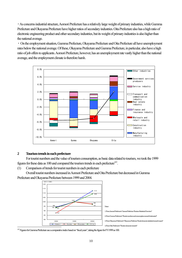・ As concerns industrial structure, Aomori Prefecture has a relatively large weight of primary industries, while Gumma Prefecture and Okayama Prefecture have higher ratios of secondary industries. Oita Prefecture also has a high ratio of electronic engineering product and other secondary industries, but its weight of primary industries is also higher than the national average.

・ On the employment situation, Gumma Prefecture, Okayama Prefecture and Oita Prefecture all have unemployment rates below the national average. Of these, Okayama Prefecture and Gumma Prefecture, in particular, also have a high ratio of job offers to applicants. Aomori Prefecture, however, has an unemployment rate vastly higher than the national average, and the employment climate is therefore harsh.



#### **2 Tourism trends in each prefecture**

 $\overline{a}$ 

For tourist numbers and the value of tourism consumption, as basic data related to tourism, we took the 1999 figures for these data as 100 and compared the tourism trends in each prefecture<sup>※1</sup>.

(1) Comparison of trends for tourist numbers in each prefecture

Overall tourist numbers increased in Aomori Prefecture and Oita Prefecture but decreased in Gumma Prefecture and Okayama Prefecture between 1999 and 2004.



 $^{261}$  Figures for Gumma Prefecture use a comparative index based on "fiscal years", taking the figure for FY1999 as 100.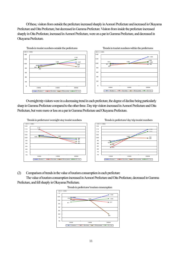Of these, visitors from outside the prefecture increased sharply in Aomori Prefecture and increased in Okayama Prefecture and Oita Prefecture, but decreased in Gumma Prefecture. Visitors from inside the prefecture increased sharply in Oita Prefecture, increased in Aomori Prefecture, were on a par in Gumma Prefecture, and decreased in Okayama Prefecture.



Overnight trip visitors were in a decreasing trend in each prefecture, the degree of decline being particularly sharp in Gumma Prefecture compared to the other three. Day trip visitors increased in Aomori Prefecture and Oita Prefecture, but were more or less on a par in Gumma Prefecture and Okayama Prefecture.



(2) Comparison of trends in the value of tourism consumption in each prefecture

The value of tourism consumption increased in Aomori Prefecture and Oita Prefecture, decreased in Gumma Prefecture, and fell sharply in Okayama Prefecture.



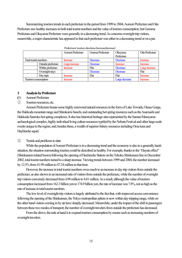Summarizing tourism trends in each prefecture in the period from 1999 to 2004, Aomori Prefecture and Oita Prefecture saw healthy increases in both total tourist numbers and the value of tourism consumption, but Gumma Prefecture and Okayama Prefecture were generally in a decreasing trend. As concerns overnight trip visitors, meanwhile, a major characteristic has appeared in that each prefecture was either in a decreasing trend or on a par.

|                       |                    | Aomori Prefecture | Gunma Prefecture | Okayama<br>Prefecture | Oita Prefecture |
|-----------------------|--------------------|-------------------|------------------|-----------------------|-----------------|
| Total tourist numbers |                    | Increase          | Decrease         | Decrease              | Increase        |
|                       | Outside prefecture | Large increase    | Decrease         | <b>Increase</b>       | <b>Increase</b> |
|                       | Within prefecture  | Increase          | Flat             | <b>Decrease</b>       | Large increase  |
|                       | Overnight stays    |                   | Decrease         | Decrease              | Flat            |
|                       | Day trips          | Increase          | Flat             | Flat                  | Increase        |
| Tourism consumption   |                    | Increase          |                  | Large decrease        | <b>Increase</b> |

Prefectures' tourism directions (increase/decrease)

#### **3 Analysis by Prefecture**

- **(**1) Aomori Prefecture
- ① Tourism resources, etc.

Aomori Prefecture boasts some highly renowned natural resources in the form of Lake Towada, Oirase Gorge, the Hakkoda mountain range and Shirakami-Sanchi, and outstanding hot spring resources such as the Asamushi and Hakkoda-Sanroku hot spring complexes. It also has historical heritage sites represented by the Sannai-Maruyama archaeological complex, highly individual living culture resources typified by the Nebuta Festival and other large-scale events unique to the region, and, besides these, a wealth of superior fishery resources including Oma tuna and Hachinohe squid.

# ② Trends and problems to date

While the population of Aomori Prefecture is in a decreasing trend and the economy is also in a generally harsh situation, the situation surrounding tourism could be described as healthy. For example, thanks to the "Hayate effect" (Shinkansen-related boom) following the opening of Hachinohe Station on the Tohoku Shinkansen line in December 2002, total tourist numbers turned to a sharp increase. Viewing trends between 1999 and 2004, the number increased by 12.5% from 41.99 million to 47.24 million in that time.

However, the increase in total tourist numbers owes much to an increase in day trip visitors from outside the prefecture, as also shown in an increased ratio of visitors from outside the prefecture, while the number of overnight trip visitors conversely decreased from 4.98 million to 4.81 million. As a result, although the value of tourism consumption increased from 162.3 billion yen to 174.9 billion yen, the rate of increase was 7.8%, not as high as the rate of increase in total tourist numbers.

The low level of overnight trip visitors is largely attributed to the fact that, with improved access convenience following the opening of the Shinkansen, the Tokyo metropolitan sphere is now within day-tripping range, while on the other hand visitors coming in by air have sharply decreased. Meanwhile, under the impact of the shift in passengers between these two modes of transport, the number of overnight travelers from outside the prefecture has decreased.

From the above, the task at hand is to expand tourism consumption by means such as increasing numbers of overnight travelers.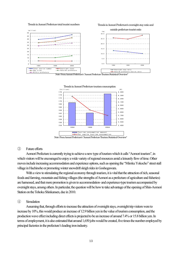Trends in Aomori Prefecture total tourist numbers

Trends in Aomori Prefecture's overnight stay ratio and







Note: From Aomori Prefecture's "Aomori Prefecture Tourism Statistical Overview"

#### ③ Future efforts

Aomori Prefecture is currently trying to achieve a new type of tourism which it calls "Aomori tourism", in which visitors will be encouraged to enjoy a wide variety of regional resources amid a leisurely flow of time. Other moves include increasing accommodation and experience options, such as opening the "Miroku Yokocho" street stall village in Hachinohe or promoting winter snowdrift sleigh rides in Goshogawara.

With a view to stimulating the regional economy through tourism, it is vital that the attraction of rich, seasonal foods and farming, mountain and fishing villages (the strengths of Aomori as a prefecture of agriculture and fisheries) are harnessed, and that more promotion is given to accommodation- and experience-type tourism accompanied by overnight stays, among others. In particular, the question will be how to take advantage of the opening of Shin-Aomori Station on the Tohoku Shinkansen, due in 2010.

#### ④ Simulation

Assuming that, through efforts to increase the attraction of overnight stays, overnight trip visitors were to increase by 10%, this would produce an increase of 12.9 billion yen in the value of tourism consumption, and the production wave effect including direct effects is projected to be an increase of around 7.4% or 15.8 billion yen. In terms of employment, it is also estimated that around 1,650 jobs would be created, five times the number employed by principal factories in the prefecture's leading iron industry.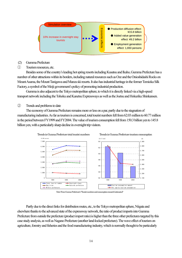

- (2) Gumma Prefecture
- ① Tourism resources, etc.

Besides some of the country's leading hot spring resorts including Kusatsu and Ikaho, Gumma Prefecture has a number of other attractions within its borders, including natural resources such as Oze and the Onioshidashi Rocks on Mount Asama, the Mount Tanigawa and Manza ski resorts. It also has industrial heritage in the former Tomioka Silk Factory, a symbol of the Meiji government's policy of promoting industrial production.

Gumma is also adjacent to the Tokyo metropolitan sphere, to which it is directly linked via a high-speed transport network including the Tohoku and Kanetsu Expressways as well as the Joetsu and Hokuriku Shinkansen.

② Trends and problems to date

The economy of Gumma Prefecture remains more or less on a par, partly due to the stagnation of manufacturing industries. As far as tourism is concerned, total tourist numbers fell from 62.03 million to 60.77 million in the period between FY1999 and FY2004. The value of tourism consumption fell from 150.3 billion yen to 145.8 billion yen, with a particularly sharp decline in overnight trip visitors.



Note: From Gunma Prefecture's "Tourist numbers and consumption research (estimates)"

Partly due to the direct links for distribution routes, etc., to the Tokyo metropolitan sphere, Niigata and elsewhere thanks to the advanced state of the expressway network, the ratio of product imports into Gumma Prefecture from outside the prefecture (product import ratio) is higher than the three other prefectures targeted by this case study analysis, as well as Nagano Prefecture (another land-locked prefecture). The wave effect of tourism on agriculture, forestry and fisheries and the food manufacturing industry, which is normally thought to be particularly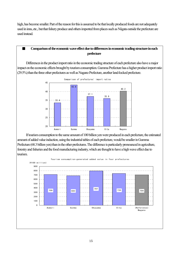high, has become smaller. Part of the reason for this is assumed to be that locally produced foods are not adequately used in inns, etc., but that fishery produce and others imported from places such as Niigata outside the prefecture are used instead.

# ■ Comparison of the economic wave effect due to differences in economic trading structure in each **prefecture**

Differences in the product import ratio in the economic trading structure of each prefecture also have a major impact on the economic effects brought by tourism consumption. Gumma Prefecture has a higher product import ratio (29.5%) than the three other prefectures as well as Nagano Prefecture, another land-locked prefecture.



 If tourism consumption to the same amount of 100 billion yen were produced in each prefecture, the estimated amount of added value induction, using the industrial tables of each prefecture, would be smaller in Gumma Prefecture (68.3 billion yen) than in the other prefectures. The difference is particularly pronounced in agriculture, forestry and fisheries and the food manufacturing industry, which are thought to have a high wave effect due to tourism.

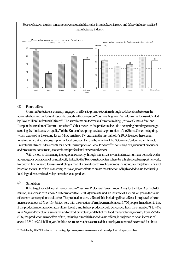

# ③ Future efforts

Gumma Prefecture is currently engaged in efforts to promote tourism through collaboration between the administration and prefectural residents, based on the campaign "Gumma Nigiwai Plan – Gumma Tourism Created by Two Million Prefectural Citizens". The stated aims are to "make Gumma inviting", "make Gumma fun" and "support the creation of Gumma attractions". Other moves in the prefecture include a hot spring branding campaign stressing the "insistence on quality" of the Kusatsu hot spring, and active promotion of the Shima Onsen hot spring, which was used as the setting for an NHK serialized TV drama in the first half of FY2005. Besides these, as an initiative aimed at local consumption of local produce, there is the activity of the "Gumma Conference to Promote Prefectural Citizens' Movements for Local Consumption of Local Produce<sup>※1,</sup>, consisting of agricultural producers and processors, consumers, academic and professional experts and others.

With a view to stimulating the regional economy through tourism, it is vital that maximum use be made of the advantageous conditions of being directly linked to the Tokyo metropolitan sphere by a high-speed transport network, to conduct finely- tuned tourism marketing aimed at a broad spectrum of customers including overnight travelers, and, based on the results of this marketing, to make greater efforts to create the attraction of high added value foods using local ingredients and to develop attractive local produce.

## ④ Simulation

 $\overline{a}$ 

If the target for total tourist numbers set in "Gumma Prefectural Government Aims for the New Age" (66.40 million, an increase of 9.3% in 2010 compared to FY2004) were attained, an increase of 13.5 billion yen in the value of tourism consumption would arise. The production wave effect of this, including direct effects, is projected to be an increase of about 9.3% or 16.4 billion yen, with the creation of employment for about 1,750 people. In addition to this, if the product import ratio for agriculture, forestry and fishery products could be reduced from the current 63% to 43% as in Nagano Prefecture, a similarly land-locked prefecture, and that of the food manufacturing industry from 75% to 67%, the production wave effect of this, including direct high added value effects, is projected to be an increase of about 12.5% or 22.1 billion yen. In this case, moreover, it is estimated that employment would be created for about

<sup>※</sup>1 Created on July 14th, 2004, with members consisting of producers, processors, consumers, academic and professional experts, and others.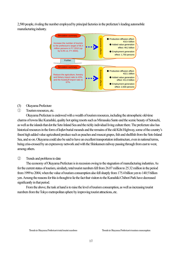2,500 people, rivaling the number employed by principal factories in the prefecture's leading automobile manufacturing industry.



- (3) Okayama Prefecture
- ① Tourism resources, etc.

Okayama Prefecture is endowed with a wealth of tourism resources, including the atmospheric old-time charms of towns like Kurashiki, quality hot spring resorts such as Mimasaka Santo and the scenic beauty of Setouchi, as well as the islands that dot the Seto Inland Sea and the richly individual living culture there. The prefecture also has historical resources in the form of *kofun* burial mounds and the remains of the old Kibi Highway, some of the country's finest high added value agricultural produce such as peaches and muscat grapes, fish and shellfish from the Seto Inland Sea, and so on. Okayama could also be said to have an excellent transportation infrastructure, even in national terms, being criss-crossed by an expressway network and with the Shinkansen railway passing through from east to west, among others.

## ② Trends and problems to date

The economy of Okayama Prefecture is in recession owing to the stagnation of manufacturing industries. As for the current status of tourism, similarly, total tourist numbers fell from 26.07 million to 25.32 million in the period from 1999 to 2004, when the value of tourism consumption also fell sharply from 175.4 billion yen to 140.5 billion yen. Among the reasons for this is thought to lie the fact that visitors to the Kurashiki Chibori Park have decreased significantly in that period.

From the above, the task at hand is to raise the level of tourism consumption, as well as increasing tourist numbers from the Tokyo metropolitan sphere by improving tourist attractions, etc.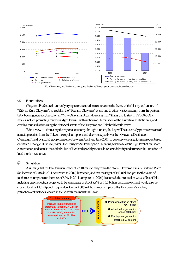

Note: From Okayama Prefecture's "Okayama Prefecture Tourist dynamic statistical research report"

#### ③ Future efforts

Okayama Prefecture is currently trying to create tourism resources on the theme of the history and culture of "Kibi no Kuni Okayama", to establish the "Tourism Okayama" brand and to attract visitors mainly from the postwar baby boom generation, based on its "New Okayama Dream-Building Plan" that is due to start in FY2007. Other moves include promoting residential-type tourism with night-time illumination of the Kurashiki aesthetic area, and creating tourist districts using the historical streets of the Tsuyama and Takahashi castle towns.

With a view to stimulating the regional economy through tourism, the key will be to actively promote means of attracting tourists from the Tokyo metropolitan sphere and elsewhere, partly via the "Okayama Destination Campaign" held by six JR group companies between April and June 2007, to develop wide-area tourism routes based on shared history, culture, etc., within the Chugoku-Shikoku sphere by taking advantage of the high level of transport convenience, and to raise the added value of food and special produce in order to identify and improve the attraction of local tourism resources.

## ④ Simulation

Assuming that the total tourist number of 27.10 million targeted in the "New Okayama Dream-Building Plan" (an increase of 7.0% in 2011 compared to 2004) is reached, and that the target of 153.0 billion yen for the value of tourism consumption (an increase of 8.9% in 2011 compared to 2004) is attained, the production wave effect of this, including direct effects, is projected to be an increase of about 8.9% or 16.7 billion yen. Employment would also be created for about 1,550 people, equivalent to about 80% of the number employed by the country's leading petrochemical factories located in the Mizushima Industrial Estate.

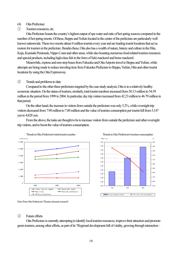## (4) Oita Prefecture

① Tourism resources, etc.

Oita Prefecture boasts the country's highest output of spa water and ratio of hot spring sources compared to the number of hot spring resorts. Of these, Beppu and Yufuin located in the center of the prefecture are particularly well known nationwide. These two resorts attract 8 million tourists every year and are leading tourist locations that act as motors for tourism in the prefecture. Besides these, Oita also has a wealth of nature, history and culture in the Hita, Kuju, Kunisaki Peninsula, Nippo Coast and other areas, while also boasting numerous food-related tourism resources and special products, including high-class fish in the form of Seki mackerel and horse mackerel.

Meanwhile, express and non-stop buses from Fukuoka and Oita Airports travel to Beppu and Yufuin, while attempts are being made to reduce traveling time from Fukuoka Prefecture to Beppu, Yufuin, Hita and other tourist locations by using the Oita Expressway.

## ② Trends and problems to date

Compared to the other three prefectures targeted by the case study analysis, Oita is in a relatively healthy economic situation. On the status of tourism, similarly, total tourist numbers increased from 50.13 million to 54.59 million in the period from 1999 to 2004. In particular, day trip visitors increased from 42.23 million to 46.79 million in that period.

On the other hand, the increase in visitors from outside the prefecture was only 5.2%, while overnight trip visitors decreased from 7.90 million to 7.80 million and the value of tourism consumption per tourist fell from 5,147 yen to 4,828 yen.

From the above, the tasks are thought to be to increase visitors from outside the prefecture and other overnight trip visitors, and to boost the value of tourism consumption.



Note: From Oita Prefecture's "Tourism dynamic research"

#### ③ Future efforts

Oita Prefecture is currently attempting to identify local tourism resources, improve their attraction and promote green tourism, among other efforts, as part of its "Regional development full of vitality, growing through interaction –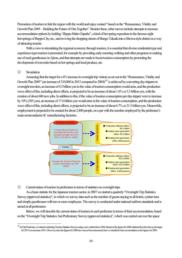Promotion of tourism to link the region with the world and enjoy contact" based on the "Reassurance, Vitality and Growth Plan 2005 – Building the Future of Oita Together". Besides these, other moves include attempts to increase accommodation options by holding "*Beppu Hatto Onpaku*", a kind of hot spring exposition in the famous eight hot-springs of Beppu City, etc., and reviving the shopping streets of Bungo Takada into a Showa-style district as a way of attracting tourists.

With a view to stimulating the regional economy through tourism, it is essential that diverse residential-type and experience-type tourism is promoted, for example by providing early-morning walking and other programs or making use of rural guesthouses in Ajimu, and that attempts are made to boost tourism consumption by promoting the development of souvenirs based on hot springs and local produce, etc.

## ④ Simulation

 $\overline{a}$ 

Assuming that the target for a 4% increase in overnight trip visitors as set out in the "Reassurance, Vitality and Growth Plan 2005" (an increase of 310,000 in 2015 compared to 2004)<sup>※1</sup> is achieved by converting day-trippers to overnight travelers, an increase of 4.3 billion yen in the value of tourism consumption would arise, and the production wave effect of this, including direct effects, is projected to be an increase of about 1.6% or 5.3 billion yen, with the creation of about 600 new jobs. In addition to this, if the value of tourism consumption per day-tripper were to increase by 10% (285 yen), an increase of 17.6 billion yen would arise in the value of tourism consumption, and the production wave effect of this, including direct effects, is projected to be an increase of about 6.7% or 21.5 billion yen. Meanwhile, employment is projected to be created for about 2,400 people, on a par with the number employed by the prefecture's main semiconductor IC manufacturing factories.



◎ Current status of tourism in prefectures in terms of statistics on overnight trips

As a basic statistic for the Japanese tourism sector, in 2007 we started a quarterly "Overnight Trip Statistics Survey (approved statistics)", in which we survey data such as the number of guests staying in all hotels, *ryokan* inns and simple guesthouses with ten or more employees. The survey is conducted under national uniform standards and is aimed at all prefectures.

 Below, we will describe the current status of tourism in each prefecture in terms of their accommodation, based on the "Overnight Trip Statistics 2nd Preliminary Survey (approved statistics)", which was carried out over the space

<sup>※</sup>1 In Oita Prefecture, we started conducting Tourism Statistics Surveys using a new method from 2006. Based on the figures for 2006 obtained from the Survey, the target for 2015 is an increase of 4%. However, since the figures for 2006 have not yet been announced, here we decided to base our simulation on the figures for 2004.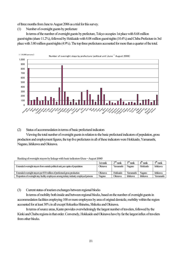of three months from June to August 2006 as a trial for this survey.

(1) Number of overnight guests by prefecture

In terms of the number of overnight guests by prefecture, Tokyo occupies 1st place with 8.68 million guest/nights (share 11.2%), followed by Hokkaido with 8.08 million guest/nights (10.4%) and Chiba Prefecture in 3rd place with 3.80 million guest/nights (4.9%). The top three prefectures accounted for more than a quarter of the total.



(2) Status of accommodation in terms of basic prefectural indicators

Viewing the total number of overnight guests in relation to the basic prefectural indicators of population, gross production and employment figures, the top five prefectures in all of these indicators were Hokkaido, Yamanashi, Nagano, Ishikawa and Okinawa.

Ranking of overnight stayers by linkage with basic indicators (June ~ August 2006)

|                                                                                          | 1st rank | $\gamma^{\rm nd}$ rank | $\gamma^{\text{rd}}$ rank | $4th$ rank      | $\epsilon$ <sup>th</sup> rank |
|------------------------------------------------------------------------------------------|----------|------------------------|---------------------------|-----------------|-------------------------------|
| Extended overnight stayers from outside political unit, per capita of population         | Okinawa  | Yamanashi              | Nagano                    | Hokkaido        | <b>Ishikawa</b>               |
| Extended overnight stavers per ¥10 million of prefectural gross production               | Okinawa  | Hokkaido               | Yamanashi                 | Nagano          | <b>Ishikawa</b>               |
| Proportion of overnight stay facility employees among tertiary industry employed persons | Nagano   | Okinawa                | <b>Ishikawa</b>           | <b>Ishikawa</b> | Yamanashi                     |

(3) Current status of tourism exchanges between regional blocks

In terms of mobility both inside and between regional blocks, based on the number of overnight guests in accommodation facilities employing 100 or more employees by area of original domicile, mobility within the region accounted for at least 30% in all except Hokuriku-Shinetsu, Shikoku and Okinawa.

In terms of source areas, Kanto provides overwhelmingly the largest number of travelers, followed by the Kinki and Chubu regions in that order. Conversely, Hokkaido and Okinawa have by far the largest influx of travelers from other blocks.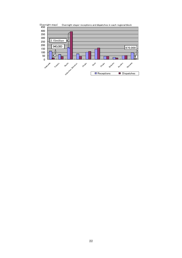

22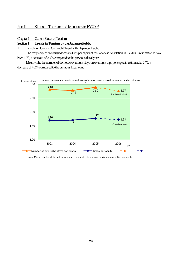# Part II Status of Tourism and Measures in FY2006

#### Chapter 1 Current Status of Tourism

#### **Section 1 Trends in Tourism by the Japanese Public**

1 Trends in Domestic Overnight Trips by the Japanese Public

The frequency of overnight domestic trips per capita of the Japanese population in FY2006 is estimated to have been 1.73, a decrease of 2.3% compared to the previous fiscal year.

Meanwhile, the number of domestic overnight stays on overnight trips per capita is estimated at 2.77, a decrease of 4.2% compared to the previous fiscal year.



Note: Ministry of Land, Infrastructure and Transport, "Travel and tourism consumption research"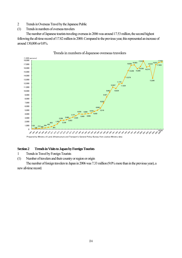- 2 Trends in Overseas Travel by the Japanese Public
- (1) Trends in numbers of overseas travelers

The number of Japanese tourists traveling overseas in 2006 was around 17.53 million, the second highest following the all-time record of 17.82 million in 2000. Compared to the previous year, this represented an increase of around 130,000 or 0.8%.



Trends in numbers of Japanese overseas travelers

**Section 2 Trends in Visits to Japan by Foreign Tourists** 

1 Trends in Travel by Foreign Tourists

(1) Number of travelers and their country or region or origin

The number of foreign travelers to Japan in 2006 was 7.33 million (9.0% more than in the previous year), a new all-time record.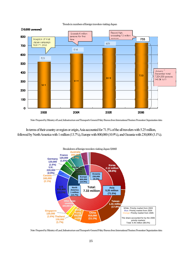

#### Trends in numbers of foreign travelers visiting Japan

Note: Prepared by Ministry of Land, Infrastructure and Transport's General Policy Bureau from International Tourism Promotion Organization data

In terms of their country or region or origin, Asia accounted for 71.5% of the all travelers with 5.25 million, followed by North America with 1 million (13.7%), Europe with 800,000 (10.9%), and Oceania with 230,000 (3.1%).



Note: Prepared by Ministry of Land, Infrastructure and Transport's General Policy Bureau from International Tourism Promotion Organization data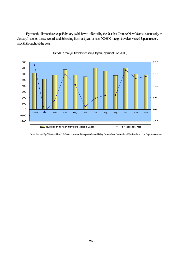By month, all months except February (which was affected by the fact that Chinese New Year was unusually in January) reached a new record, and following from last year, at least 500,000 foreign travelers visited Japan in every month throughout the year.



Trends in foreign travelers visiting Japan (by month on 2006)

Note: Prepared by Ministry of Land, Infrastructure and Transport's General Policy Bureau from International Tourism Promotion Organization data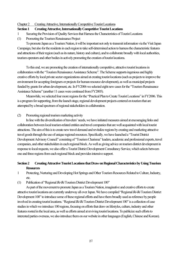#### Chapter 2 Creating Attractive, Internationally Competitive Tourist Locations

## **Section 1 Creating Attractive, Internationally Competitive Tourist Locations**

- 1 Securing the Provision of Quality Services that Harness the Characteristics of Tourist Locations
- (1) Promoting the Tourism Renaissance Project

To promote Japan as a Tourism Nation, it will be important not only to transmit information via the Visit Japan Campaign, but also for the residents in each region to take self-determined action to harness the characteristic features and attractions of their region (such as its nature, history and culture), and to collaborate broadly with local authorities, tourism operators and other bodies in actively promoting the creation of tourist locations.

To this end, we are promoting the creation of internationally competitive, attractive tourist locations in collaboration with the "Tourism Renaissance Assistance Scheme". The Scheme supports ingenious and highly creative efforts by local private sector organizations aimed at creating tourist locations (such as projects to improve the environment for accepting foreigners or projects for human resource development), as well as municipal projects funded by grants for urban development, etc. In FY2006 we selected eight new cases for the "Tourism Renaissance Assistance Scheme" (another 11 cases were continued from FY2005).

Meanwhile, we selected four more regions for the "Practical Plan to Create Tourist Locations" in FY2006. This is a program for supporting, from the launch stage, regional development projects centered on tourism that are attempted by a broad spectrum of regional stakeholders in collaboration.

## (2) Promoting regional tourism marketing activity

In line with the diversification of travelers' needs, we have initiated measures aimed at encouraging links and collaboration between local tourism-related entities and travel companies that are well acquainted with local tourist attractions. The aim of this is to create new travel demand and revitalize regions by creating and marketing attractive travel goods through the use of unique regional resources. Specifically, we have launched a "Tourist District Development Advisory Council" consisting of "Tourism Charisma" leaders, academic and professional experts, travel companies, and other stakeholders in each regional block. As well as giving advice on tourism district development in response to local requests, we also offer a Tourist District Development Consultancy Service, which selects between one and three regions from each regional block and provides intensive support.

# **Section 2 Creating Attractive Tourist Locations that Draw on Regional Characteristics by Using Tourism Resources**

- 1 Protecting, Nurturing and Developing Hot Springs and Other Tourism Resources Related to Culture, Industry, etc.
- (1) Publication of "Regional *Iki-Iki* Tourism District Development 100"

As part of the movement to promote Japan as a Tourism Nation, imaginative and creative efforts to create attractive tourist locations are currently underway all over Japan. We have compiled "Regional *Iki-Iki* Tourism District Development 100" to introduce some of these regional efforts and have them broadly used as reference by people involved in creating tourist locations. "Regional *Iki-Iki* Tourism District Development 100" is a collection of case studies in which we introduce 100 regions, focusing on efforts that draw on lifestyles, culture, industry and other features rooted in the local area, as well sa efforts aimed at reviving tourist locations. To publicize such efforts to interested parties overseas, we also introduce them on our website in other languages (English, Chinese and Korean).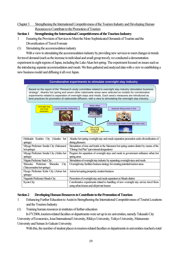# Chapter 3 Strengthening the International Competitiveness of the Tourism Industry and Developing Human Resources to Contribute to the Promotion of Tourism

# **Section 1 Strengthening the International Competitiveness of the Tourism Industry**

- 1 Ensuring the Provision of Services to Meet the More Sophisticated Demands of Tourists and the Diversification of Travel Formats
- (1) Stimulating the accommodation industry

With a view to stimulating the accommodation industry by providing new services to meet changes in trends for travel demand (such as the increase in individual and small group travel), we conducted a demonstration experiment in eight regions of Japan, including the Lake Akan hot spring. The experiment focused on issues such as the introducing separate accommodation and meals. We then gathered and analyzed data with a view to establishing a new business model and diffusing it all over Japan.

#### **Corroborative experiments to stimulate overnight stay industry**

Based on the report of the "Research study committee related to overnight stay industry stimulation business strategy", Akanko hot spring and seven other nationwide areas were selected as models for corroborative experiments related to separation of overnight stays and meals. Each area's measures are introduced as best practices for promotion of nationwide diffusion, with a view to stimulating the overnight stay industry.



| Hokkaido Kushiro City (Akanko hot              | Akanko hot spring overnight stay and meals separation promotion seeks diversification of   |  |  |
|------------------------------------------------|--------------------------------------------------------------------------------------------|--|--|
| springs)                                       | dining pleasures                                                                           |  |  |
| Miyagi Prefecture Sendai City (Sakunami        | Stimulation of inns and hotels in the Sakunami hot spring eastern district by means of the |  |  |
| hot springs)                                   | "Dining Out Plan" (provisional designation)                                                |  |  |
| Miyagi Prefecture Sendai City (Akiho hot       | Program for separation of overnight stays and meals in government ordinance urban hot      |  |  |
| springs)                                       | spring areas                                                                               |  |  |
| Niigata Prefecture Sado City                   | Stimulation of overnight stay industry by separating overnight stays and meals             |  |  |
| Shizuoka Prefecture<br><b>Shizuoka</b><br>City | Overnight stay facilities business strategy for creating potential tourism areas           |  |  |
| (Tateyamadera hot springs)                     |                                                                                            |  |  |
| Hyogo Prefecture Kobe City (Arima hot          | Arima hot spring prosperity creation business                                              |  |  |
| springs)                                       |                                                                                            |  |  |
| Nagasaki Prefecture Hirado City                | Promotion of overnight stay and meals separation in Hirado district                        |  |  |
| Kyoto City                                     | Corroborative experiments related to handling of new overnight stay service travel firms   |  |  |
|                                                | using urban houses and old private houses                                                  |  |  |

## **Section 2 Developing Human Resources to Contribute to the Promotion of Tourism**

- 1 Enhancing Further Education to Assist in Strengthening the International Competitiveness of Tourist Locations and the Tourism Industry
- (1) Training human resources in institutes of further education

In FY2006, tourism-related faculties or departments were set up in six universities, namely Takasaki City University of Economics, Josai International University, Rikkyo University, Teikyo University, Matsumoto University and Seinan Jo Gakuin University.

With this, the number of student places in tourism-related faculties or departments in universities reached a total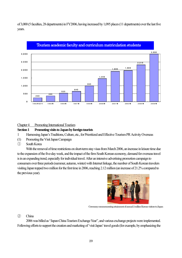of 3,000 (5 faculties, 28 departments) in FY2006, having increased by 1,095 places (11 departments) over the last five years.



## Chapter 4 Promoting International Tourism

#### **Section 1 Promoting visits to Japan by foreign tourists**

- 1 Harnessing Japan's Traditions, Culture, etc., for Prioritized and Effective Tourism PR Activity Overseas
- (1) Promoting the Visit Japan Campaign
- ① South Korea

With the removal of time restrictions on short-term stay visas from March 2006, an increase in leisure time due to the expansion of the five-day week, and the impact of the firm South Korean economy, demand for overseas travel is in an expanding trend, especially for individual travel. After an intensive advertising promotion campaign to consumers over three periods (summer, autumn, winter) with Internet linkage, the number of South Korean travelers visiting Japan topped two million for the first time in 2006, reaching 2.12 million (an increase of 21.2% compared to the previous year).



Ceremony commemorating attainment of annual 2 million Korean visitors to Japan

② China

2006 was billed as "Japan-China Tourism Exchange Year", and various exchange projects were implemented. Following efforts to support the creation and marketing of 'visit Japan' travel goods (for example, by emphasizing the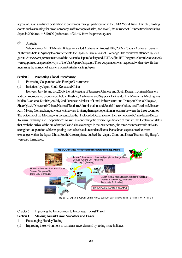appeal of Japan as a travel destination to consumers through participation in the JATA World Travel Fair, etc., holding events such as training for travel company staff in charge of sales, and so on), the number of Chinese travelers visiting Japan in 2006 rose to 810,000 (an increase of 24.4% from the previous year).

# ③ Australia

When former MLIT Minister Kitagawa visited Australia on August 10th, 2006, a "Japan-Australia Tourism Night" was held in Sydney to commemorate the Japan-Australia Year of Exchange. The event was attended by 250 guests. At the event, representatives of the Australia-Japan Society and JETAA (the JET Program Alumni Association) were appointed as special envoys of the Visit Japan Campaign. Their cooperation was requested with a view further increasing the number of travelers from Australia visiting Japan.

# **Section 2 Promoting Global Interchange**

- 1 Promoting Cooperation with Foreign Governments
- (1) Initiatives by Japan, South Korea and China

Between July 1st and 3rd, 2006, the 1st Meeting of Japanese, Chinese and South Korean Tourism Ministers and commemorative events were held in Kushiro, Asahikawa and Sapporo, Hokkaido. The Ministerial Meeting was held in Akan-cho, Kushiro, on July 2nd. Japanese Minister of Land, Infrastructure and Transport Kazuo Kitagawa, Shao Qiwei, Director of China's National Tourism Administration, and South Korean Culture and Tourism Minister Kim Myong Gon exchanged views with a view to strengthening cooperation in tourism between the three countries. The outcome of the Meeting was presented as the "Hokkaido Declaration on the Promotion of China-Japan-Korea Tourism Exchange and Cooperation". As well as confirming the diverse significance of tourism, the Declaration states that, with the arrival of the era of major East Asian exchanges in the 21st century, the three countries would strive to strengthen cooperation while respecting each other's culture and traditions. Plans for an expansion of tourism exchanges within the Japan-China-South Korean sphere, dubbed the "Japan, China and Korea Tourism Big Bang", were also formulated.



# Chapter 5 Improving the Environment to Encourage Tourist Travel

# **Section 1 Making Tourist Travel Smoother and Easier**

- 1 Encouraging Holiday Taking
- (1) Improving the environment to stimulate travel demand by taking more holidays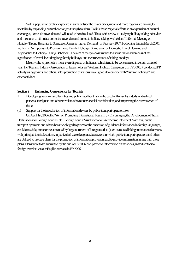With a population decline expected in areas outside the major cities, more and more regions are aiming to revitalize by expanding cultural exchanges through tourism. To link these regional efforts to an expansion of cultural exchanges, domestic travel demand will need to be stimulated. Thus, with a view to studying holiday-taking behavior and measures to stimulate domestic travel demand linked to holiday-taking, we held an "Informal Meeting on Holiday-Taking Behavior to Stimulate Domestic Travel Demand" in February 2007. Following this, in March 2007, we held a "Symposium to Promote Long Family Holidays: Stimulation of Domestic Travel Demand and Approaches to Holiday-Taking Behavior". The aim of the symposium was to arouse public awareness of the significance of travel, including long family holidays, and the importance of taking holidays.

Meanwhile, to promote a more even dispersal of holidays, which tend to be concentrated in certain times of year, the Tourism Industry Association of Japan holds an "Autumn Holiday Campaign". In FY2006, it conducted PR activity using posters and others, sales promotion of various travel goods to coincide with "autumn holidays", and other activities.

#### **Section 2 Enhancing Convenience for Tourists**

- 1 Developing travel-related facilities and public facilities that can be used with ease by elderly or disabled persons, foreigners and other travelers who require special consideration, and improving the convenience of these
- (1) Support for the introduction of information devices by public transport operators, etc.

On April 1st, 2006, the "Act on Promoting International Tourism by Encouraging the Development of Travel Destinations for Foreign Tourists, etc. (Foreign Tourist Visit Promotion Act)" came into effect. With this, public transport operators and others became obliged to promote the provision of guidance information in foreign languages, etc. Meanwhile, transport sectors used by large numbers of foreign tourists (such as routes linking international airports with principal tourist locations, in particular) were designated as sectors in which public transport operators and others are obliged to prepare plans for the promotion of information provision, and to provide information in line with those plans. Plans were to be submitted by the end of FY2006. We provided information on these designated sectors to foreign travelers via our English website in FY2006.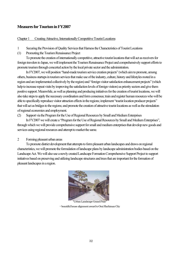# **Measures for Tourism in FY2007**

## Chapter 1 Creating Attractive, Internationally Competitive Tourist Locations

- 1 Securing the Provision of Quality Services that Harness the Characteristics of Tourist Locations
- (1) Promoting the Tourism Renaissance Project

To promote the creation of internationally competitive, attractive tourist locations that will act as receivers for foreign travelers to Japan, we will implement the Tourism Renaissance Project and comprehensively support efforts to promote tourism through concerted action by the local private sector and the administration.

In FY2007, we will position "hand-made tourism service creation projects" (which aim to promote, among others, business startups in tourism services that make use of the industry, culture, history and lifestyles rooted in a region and are implemented collectively by the region) and "foreign visitor satisfaction enhancement projects" (which help to increase repeat visits by improving the satisfaction levels of foreign visitors) as priority sectors and give them positive support. Meanwhile, as well as planning and producing initiatives for the creation of tourist locations, we will also take steps to apply the necessary coordination and form consensus; train and register human resources who will be able to specifically reproduce visitor attraction effects in the regions; implement "tourist location producer projects" that will act as bridges to the regions; and promote the creation of attractive tourist locations as well as the stimulation of regional economies and employment.

(2) Support via the Program for the Use of Regional Resources by Small and Medium Enterprises

In FY2007 we will create a "Program for the Use of Regional Resources by Small and Medium Enterprises", through which we will provide comprehensive support for small and medium enterprises that develop new goods and services using regional resources and attempt to market the same.

2 Forming pleasant urban areas

To promote district development that attempts to form pleasant urban landscapes and draws on regional characteristics, we will promote the formulation of landscape plans by landscape administration bodies based on the Landscape Act. We will also use a newly created Landscape Formation Comprehensive Support Project to support initiatives based on preserving and utilizing landscape structures and trees that are important for the formation of pleasant landscapes in a region.



"Urban Landscape Grand Prize" -- beautiful house alignment award to Omi Hachiman City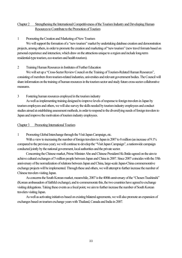# Chapter 2 Strengthening the International Competitiveness of the Tourism Industry and Developing Human Resources to Contribute to the Promotion of Tourism

1 Promoting the Creation and Marketing of New Tourism

We will support the formation of a "new tourism" market by undertaking database creation and demonstration projects, among others, in order to promote the creation and marketing of "new tourism" (new travel formats based on personal experience and interaction, which draw on the attractions unique to a region and include long-term residential-type tourism, eco-tourism and health tourism).

# 2 Training Human Resources in Institutes of Further Education

We will set up a "Cross-Sector Review Council on the Training of Tourism-Related Human Resources". consisting of members from tourism-related industries, universities and relevant government bodies. The Council will share information on the training of human resources in the tourism sector and study future cross-sector collaborative measures.

3 Fostering human resources employed in the tourism industry

 As well as implementing training designed to improve levels of response to foreign travelers in Japan by tourism employees and others, we will also survey the skills needed by tourism industry employees and conduct studies aimed at establishing assessment methods, in order to respond to the diversifying needs of foreign travelers to Japan and improve the motivation of tourism industry employees.

## Chapter 3 Promoting International Tourism

1 Promoting Global Interchange through the Visit Japan Campaign, etc.

With a view to increasing the number of foreign travelers to Japan in 2007 to 8 million (an increase of 9.1% compared to the previous year), we will continue to develop the "Visit Japan Campaign", a nationwide campaign conducted jointly by the national government, local authorities and the private sector.

Concerning the Chinese market, Prime Minister Abe and Chinese President Hú Jǐntāo agreed on the aim to achieve cultural exchanges of 5 million people between Japan and China in 2007. Since 2007 coincides with the 35th anniversary of the normalization of relations between Japan and China, large-scale Japan-China commemorative exchange projects will be implemented. Through these and others, we will attempt to further increase the number of Chinese travelers visiting Japan.

As concerns the South Korean market, meanwhile, 2007 is the 400th anniversary of the "Chosen Tsushinshi" (Korean ambassadors of faithful exchange), and to commemorate this, the two countries have agreed to exchange visiting delegations. Taking these events as a focal point, we aim to further increase the number of South Korean travelers visiting Japan.

As well as activating initiatives based on existing bilateral agreements, we will also promote an expansion of exchanges based on tourism exchange years with Thailand, Canada and India in 2007.